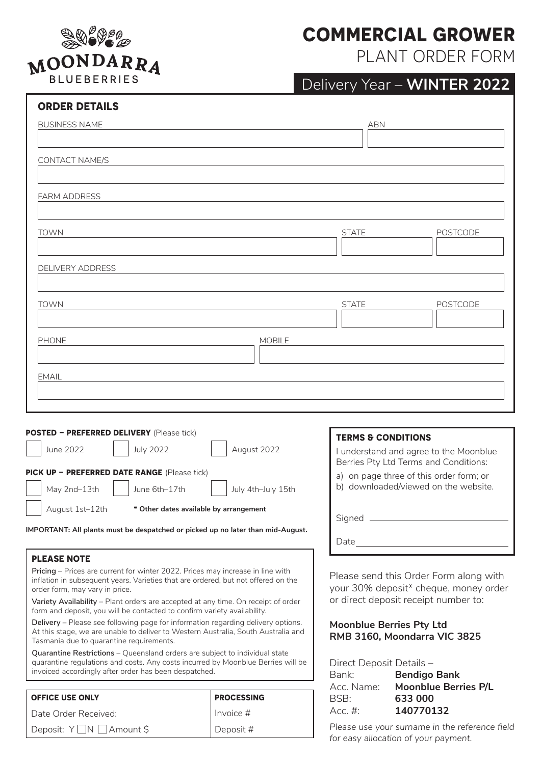

### **COMMERCIAL GROWER**

PLANT ORDER FORM

# Delivery Year – **WINTER 2022**

| <b>ORDER DETAILS</b>                                                                                                                                            |                                                                                  |                                      |  |
|-----------------------------------------------------------------------------------------------------------------------------------------------------------------|----------------------------------------------------------------------------------|--------------------------------------|--|
| <b>BUSINESS NAME</b>                                                                                                                                            | <b>ABN</b>                                                                       |                                      |  |
|                                                                                                                                                                 |                                                                                  |                                      |  |
| <b>CONTACT NAME/S</b>                                                                                                                                           |                                                                                  |                                      |  |
|                                                                                                                                                                 |                                                                                  |                                      |  |
| <b>FARM ADDRESS</b>                                                                                                                                             |                                                                                  |                                      |  |
|                                                                                                                                                                 |                                                                                  |                                      |  |
| <b>TOWN</b>                                                                                                                                                     | <b>STATE</b>                                                                     | <b>POSTCODE</b>                      |  |
|                                                                                                                                                                 |                                                                                  |                                      |  |
| <b>DELIVERY ADDRESS</b>                                                                                                                                         |                                                                                  |                                      |  |
|                                                                                                                                                                 |                                                                                  |                                      |  |
| <b>TOWN</b>                                                                                                                                                     | <b>STATE</b>                                                                     | <b>POSTCODE</b>                      |  |
| <b>PHONE</b><br><b>MOBILE</b>                                                                                                                                   |                                                                                  |                                      |  |
|                                                                                                                                                                 |                                                                                  |                                      |  |
| <b>EMAIL</b>                                                                                                                                                    |                                                                                  |                                      |  |
|                                                                                                                                                                 |                                                                                  |                                      |  |
|                                                                                                                                                                 |                                                                                  |                                      |  |
| <b>POSTED - PREFERRED DELIVERY</b> (Please tick)                                                                                                                | <b>TERMS &amp; CONDITIONS</b>                                                    |                                      |  |
| <b>July 2022</b><br>August 2022<br>June 2022                                                                                                                    | I understand and agree to the Moonblue                                           |                                      |  |
| PICK UP - PREFERRED DATE RANGE (Please tick)                                                                                                                    | Berries Pty Ltd Terms and Conditions:<br>a) on page three of this order form; or |                                      |  |
| May 2nd-13th<br>June 6th-17th<br>July 4th-July 15th                                                                                                             |                                                                                  | b) downloaded/viewed on the website. |  |
| August 1st-12th<br>* Other dates available by arrangement                                                                                                       |                                                                                  |                                      |  |
| IMPORTANT: All plants must be despatched or picked up no later than mid-August.                                                                                 | Signed _                                                                         |                                      |  |
|                                                                                                                                                                 | Date                                                                             |                                      |  |
| <b>PLEASE NOTE</b><br>Pricing - Prices are current for winter 2022. Prices may increase in line with                                                            |                                                                                  |                                      |  |
| inflation in subsequent years. Varieties that are ordered, but not offered on the<br>order form, may vary in price.                                             | Please send this Order Form along with<br>your 30% deposit* cheque, money order  |                                      |  |
| Variety Availability - Plant orders are accepted at any time. On receipt of order                                                                               | or direct deposit receipt number to:                                             |                                      |  |
| form and deposit, you will be contacted to confirm variety availability.<br>Delivery - Please see following page for information regarding delivery options.    | <b>Moonblue Berries Pty Ltd</b>                                                  |                                      |  |
| At this stage, we are unable to deliver to Western Australia, South Australia and<br>Tasmania due to quarantine requirements.                                   | RMB 3160, Moondarra VIC 3825                                                     |                                      |  |
| Quarantine Restrictions - Queensland orders are subject to individual state<br>quarantine regulations and costs. Any costs incurred by Moonblue Berries will be | Direct Deposit Details -                                                         |                                      |  |

| invoiced accordingly after order has been despatched. |  |
|-------------------------------------------------------|--|
|-------------------------------------------------------|--|

| <b>OFFICE USE ONLY</b>  | <b>PROCESSING</b> |  |
|-------------------------|-------------------|--|
| Date Order Received:    | l Invoice #       |  |
| Deposit: Y∐N ∐Amount \$ | Deposit #         |  |

Bank: **Bendigo Bank** Acc. Name: **Moonblue Berries P/L** BSB: **633 000**  Acc. #: **140770132**

*Please use your surname in the reference field for easy allocation of your payment.*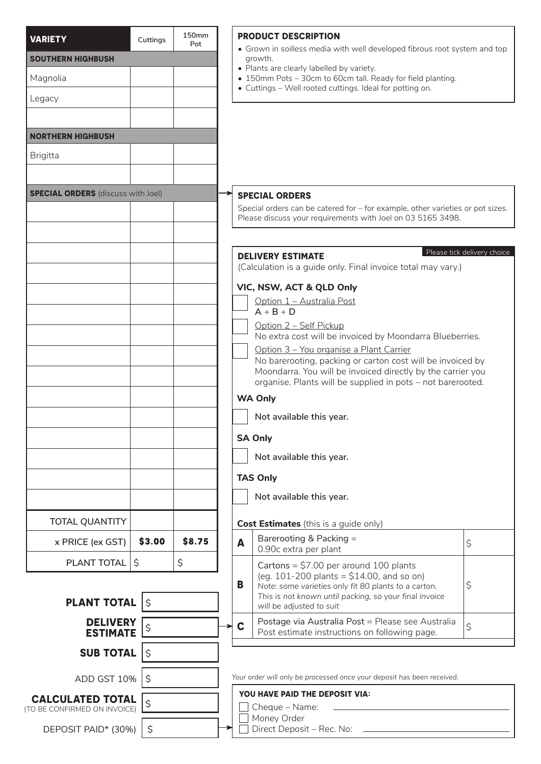| <b>VARIETY</b>                            | Cuttings       | 150 <sub>mm</sub><br>Pot |                                                                                      |                                                                                                                                               | <b>PRODUCT DESCRIPTION</b>                                                                                                 |                             |  |
|-------------------------------------------|----------------|--------------------------|--------------------------------------------------------------------------------------|-----------------------------------------------------------------------------------------------------------------------------------------------|----------------------------------------------------------------------------------------------------------------------------|-----------------------------|--|
| <b>SOUTHERN HIGHBUSH</b>                  |                |                          | • Grown in soilless media with well developed fibrous root system and top<br>growth. |                                                                                                                                               |                                                                                                                            |                             |  |
| Magnolia                                  |                |                          |                                                                                      |                                                                                                                                               | • Plants are clearly labelled by variety.<br>• 150mm Pots - 30cm to 60cm tall. Ready for field planting.                   |                             |  |
| Legacy                                    |                |                          |                                                                                      |                                                                                                                                               | • Cuttings - Well rooted cuttings. Ideal for potting on.                                                                   |                             |  |
|                                           |                |                          |                                                                                      |                                                                                                                                               |                                                                                                                            |                             |  |
| <b>NORTHERN HIGHBUSH</b>                  |                |                          |                                                                                      |                                                                                                                                               |                                                                                                                            |                             |  |
| <b>Brigitta</b>                           |                |                          |                                                                                      |                                                                                                                                               |                                                                                                                            |                             |  |
|                                           |                |                          |                                                                                      |                                                                                                                                               |                                                                                                                            |                             |  |
| <b>SPECIAL ORDERS</b> (discuss with Joel) |                |                          |                                                                                      |                                                                                                                                               | <b>SPECIAL ORDERS</b>                                                                                                      |                             |  |
|                                           |                |                          |                                                                                      | Special orders can be catered for - for example, other varieties or pot sizes.<br>Please discuss your requirements with Joel on 03 5165 3498. |                                                                                                                            |                             |  |
|                                           |                |                          |                                                                                      |                                                                                                                                               |                                                                                                                            |                             |  |
|                                           |                |                          |                                                                                      |                                                                                                                                               | <b>DELIVERY ESTIMATE</b>                                                                                                   | Please tick delivery choice |  |
|                                           |                |                          |                                                                                      | (Calculation is a guide only. Final invoice total may vary.)                                                                                  |                                                                                                                            |                             |  |
|                                           |                |                          |                                                                                      |                                                                                                                                               | VIC, NSW, ACT & QLD Only<br>Option 1 - Australia Post                                                                      |                             |  |
|                                           |                |                          |                                                                                      |                                                                                                                                               | $A + B + D$<br>Option 2 - Self Pickup                                                                                      |                             |  |
|                                           |                |                          |                                                                                      |                                                                                                                                               | No extra cost will be invoiced by Moondarra Blueberries.                                                                   |                             |  |
|                                           |                |                          |                                                                                      |                                                                                                                                               | Option 3 - You organise a Plant Carrier<br>No barerooting, packing or carton cost will be invoiced by                      |                             |  |
|                                           |                |                          |                                                                                      |                                                                                                                                               | Moondarra. You will be invoiced directly by the carrier you<br>organise. Plants will be supplied in pots - not barerooted. |                             |  |
|                                           |                |                          |                                                                                      |                                                                                                                                               | <b>WA Only</b>                                                                                                             |                             |  |
|                                           |                |                          |                                                                                      |                                                                                                                                               | Not available this year.                                                                                                   |                             |  |
|                                           |                |                          |                                                                                      | <b>SA Only</b>                                                                                                                                |                                                                                                                            |                             |  |
|                                           |                |                          |                                                                                      |                                                                                                                                               | Not available this year.                                                                                                   |                             |  |
|                                           |                |                          |                                                                                      | <b>TAS Only</b>                                                                                                                               |                                                                                                                            |                             |  |
|                                           |                |                          |                                                                                      |                                                                                                                                               | Not available this year.                                                                                                   |                             |  |
| <b>TOTAL QUANTITY</b>                     |                |                          |                                                                                      |                                                                                                                                               | <b>Cost Estimates</b> (this is a guide only)                                                                               |                             |  |
| x PRICE (ex GST)                          | \$3.00         | \$8.75                   |                                                                                      | A                                                                                                                                             | Barerooting & Packing =                                                                                                    | \$                          |  |
| PLANT TOTAL                               | \$             | \$                       |                                                                                      |                                                                                                                                               | 0.90c extra per plant                                                                                                      |                             |  |
|                                           |                |                          |                                                                                      | B                                                                                                                                             | Cartons = $$7.00$ per around 100 plants<br>(eg. 101-200 plants = $$14.00$ , and so on)                                     |                             |  |
| <b>PLANT TOTAL</b>                        | $\vert \zeta$  |                          |                                                                                      |                                                                                                                                               | Note: some varieties only fit 80 plants to a carton.<br>This is not known until packing, so your final invoice             | \$                          |  |
| <b>DELIVERY</b>                           |                |                          |                                                                                      |                                                                                                                                               | will be adjusted to suit<br>Postage via Australia Post = Please see Australia                                              |                             |  |
| <b>ESTIMATE</b>                           | \$             |                          |                                                                                      | C                                                                                                                                             | Post estimate instructions on following page.                                                                              | \$                          |  |
| <b>SUB TOTAL</b>                          | $\overline{S}$ |                          |                                                                                      |                                                                                                                                               |                                                                                                                            |                             |  |
| ADD GST 10%   \$                          |                |                          |                                                                                      |                                                                                                                                               | Your order will only be processed once your deposit has been received.                                                     |                             |  |
| <b>CALCULATED TOTAL</b>                   | \$             |                          |                                                                                      | YOU HAVE PAID THE DEPOSIT VIA:                                                                                                                |                                                                                                                            |                             |  |
| (TO BE CONFIRMED ON INVOICE)              |                |                          |                                                                                      | Cheque - Name:<br>Money Order                                                                                                                 |                                                                                                                            |                             |  |
| DEPOSIT PAID* (30%)                       | $\zeta$        |                          |                                                                                      |                                                                                                                                               | Direct Deposit - Rec. No:                                                                                                  |                             |  |